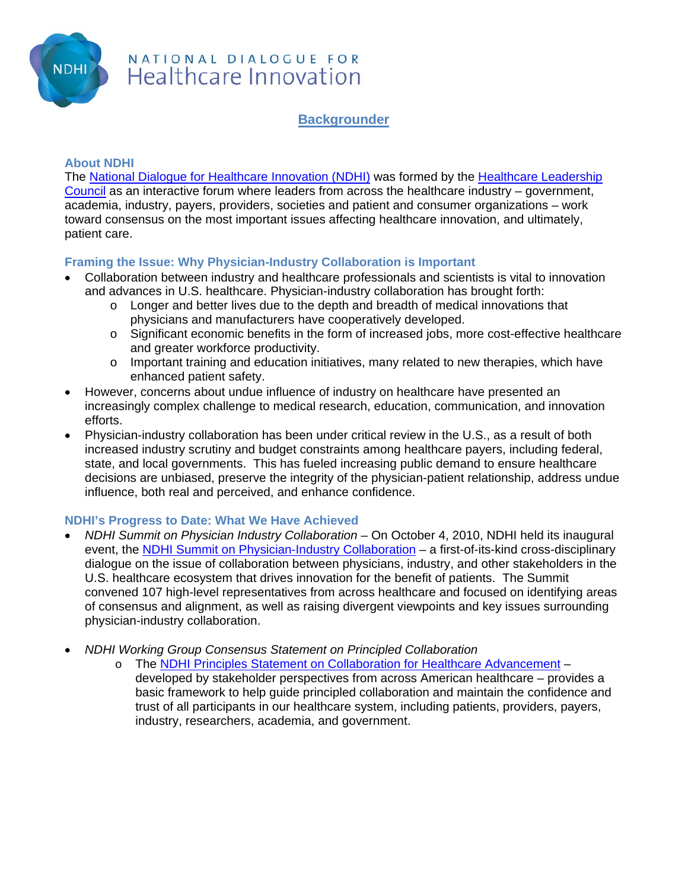

## NATIONAL DIALOGUE FOR Healthcare Innovation

**Backgrounder**

#### **About NDHI**

The National Dialogue for Healthcare Innovation (NDHI) was formed by the Healthcare Leadership Council as an interactive forum where leaders from across the healthcare industry – government, academia, industry, payers, providers, societies and patient and consumer organizations – work toward consensus on the most important issues affecting healthcare innovation, and ultimately, patient care.

### **Framing the Issue: Why Physician-Industry Collaboration is Important**

- Collaboration between industry and healthcare professionals and scientists is vital to innovation and advances in U.S. healthcare. Physician-industry collaboration has brought forth:
	- o Longer and better lives due to the depth and breadth of medical innovations that physicians and manufacturers have cooperatively developed.
	- o Significant economic benefits in the form of increased jobs, more cost-effective healthcare and greater workforce productivity.
	- o Important training and education initiatives, many related to new therapies, which have enhanced patient safety.
- However, concerns about undue influence of industry on healthcare have presented an increasingly complex challenge to medical research, education, communication, and innovation efforts.
- Physician-industry collaboration has been under critical review in the U.S., as a result of both increased industry scrutiny and budget constraints among healthcare payers, including federal, state, and local governments. This has fueled increasing public demand to ensure healthcare decisions are unbiased, preserve the integrity of the physician-patient relationship, address undue influence, both real and perceived, and enhance confidence.

#### **NDHI's Progress to Date: What We Have Achieved**

- *NDHI Summit on Physician Industry Collaboration* On October 4, 2010, NDHI held its inaugural event, the NDHI Summit on Physician-Industry Collaboration – a first-of-its-kind cross-disciplinary dialogue on the issue of collaboration between physicians, industry, and other stakeholders in the U.S. healthcare ecosystem that drives innovation for the benefit of patients. The Summit convened 107 high-level representatives from across healthcare and focused on identifying areas of consensus and alignment, as well as raising divergent viewpoints and key issues surrounding physician-industry collaboration.
- *NDHI Working Group Consensus Statement on Principled Collaboration* 
	- o The NDHI Principles Statement on Collaboration for Healthcare Advancement developed by stakeholder perspectives from across American healthcare – provides a basic framework to help guide principled collaboration and maintain the confidence and trust of all participants in our healthcare system, including patients, providers, payers, industry, researchers, academia, and government.